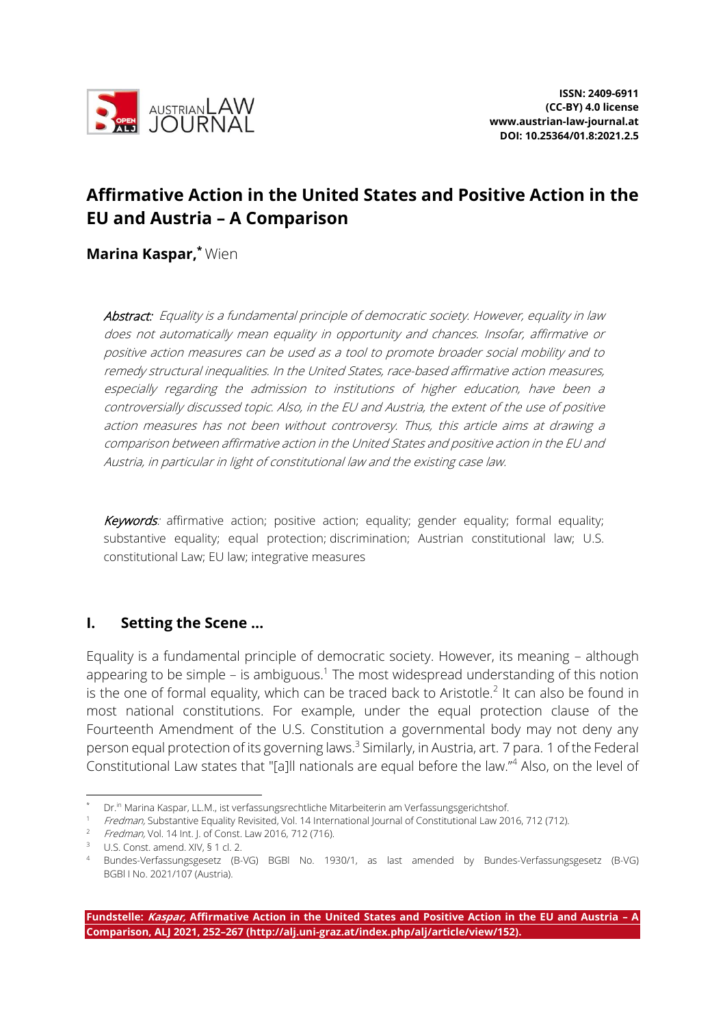

# **Affirmative Action in the United States and Positive Action in the EU and Austria – A Comparison**

**Marina Kaspar, \*** Wien

Abstract: Equality is a fundamental principle of democratic society. However, equality in law does not automatically mean equality in opportunity and chances. Insofar, affirmative or positive action measures can be used as a tool to promote broader social mobility and to remedy structural inequalities. In the United States, race-based affirmative action measures, especially regarding the admission to institutions of higher education, have been a controversially discussed topic. Also, in the EU and Austria, the extent of the use of positive action measures has not been without controversy. Thus, this article aims at drawing a comparison between affirmative action in the United States and positive action in the EU and Austria, in particular in light of constitutional law and the existing case law.

Keywords: affirmative action; positive action; equality; gender equality; formal equality; substantive equality; equal protection; discrimination; Austrian constitutional law; U.S. constitutional Law; EU law; integrative measures

## **I. Setting the Scene …**

Equality is a fundamental principle of democratic society. However, its meaning – although appearing to be simple  $-$  is ambiguous.<sup>1</sup> The most widespread understanding of this notion is the one of formal equality, which can be traced back to Aristotle.<sup>2</sup> It can also be found in most national constitutions. For example, under the equal protection clause of the Fourteenth Amendment of the U.S. Constitution a governmental body may not deny any person equal protection of its governing laws.<sup>3</sup> Similarly, in Austria, art. 7 para. 1 of the Federal Constitutional Law states that "[a]ll nationals are equal before the law."<sup>4</sup> Also, on the level of

<sup>\*</sup> Dr.in Marina Kaspar, LL.M., ist verfassungsrechtliche Mitarbeiterin am Verfassungsgerichtshof.

Fredman, Substantive Equality Revisited, Vol. 14 International Journal of Constitutional Law 2016, 712 (712).

Fredman, Vol. 14 Int. J. of Const. Law 2016, 712 (716).

<sup>&</sup>lt;sup>3</sup> U.S. Const. amend. XIV, § 1 cl. 2.

<sup>4</sup> Bundes-Verfassungsgesetz (B-VG) BGBl No. 1930/1, as last amended by Bundes-Verfassungsgesetz (B-VG) BGBl I No. 2021/107 (Austria).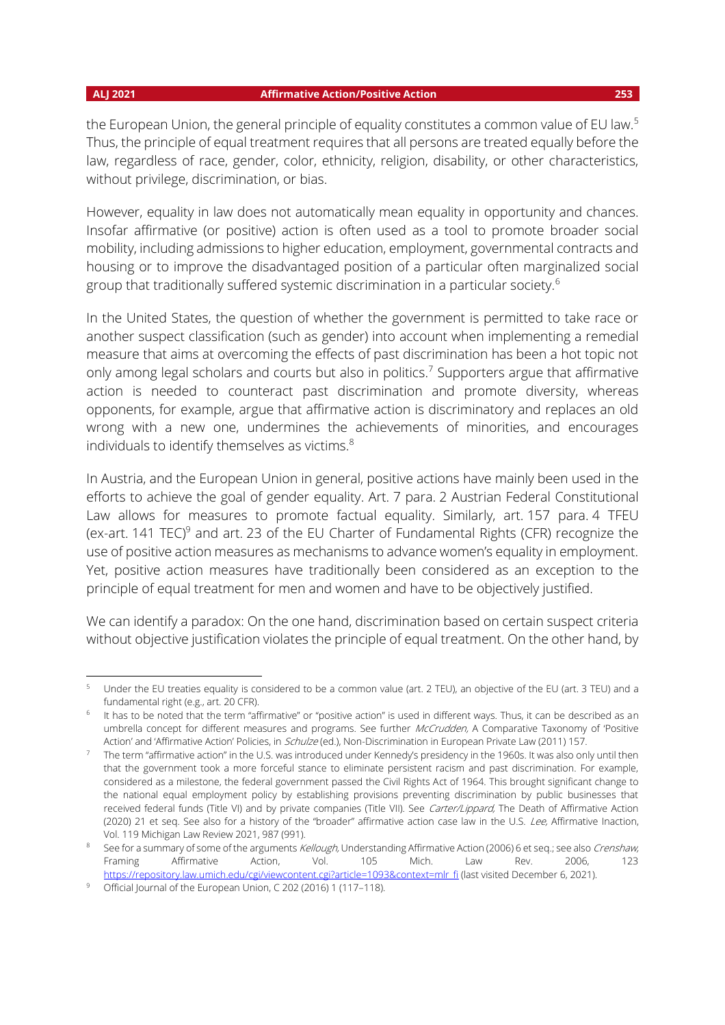the European Union, the general principle of equality constitutes a common value of EU law.<sup>5</sup> Thus, the principle of equal treatment requires that all persons are treated equally before the law, regardless of race, gender, color, ethnicity, religion, disability, or other characteristics, without privilege, discrimination, or bias.

However, equality in law does not automatically mean equality in opportunity and chances. Insofar affirmative (or positive) action is often used as a tool to promote broader social mobility, including admissions to higher education, employment, governmental contracts and housing or to improve the disadvantaged position of a particular often marginalized social group that traditionally suffered systemic discrimination in a particular society.<sup>6</sup>

In the United States, the question of whether the government is permitted to take race or another suspect classification (such as gender) into account when implementing a remedial measure that aims at overcoming the effects of past discrimination has been a hot topic not only among legal scholars and courts but also in politics.<sup>7</sup> Supporters argue that affirmative action is needed to counteract past discrimination and promote diversity, whereas opponents, for example, argue that affirmative action is discriminatory and replaces an old wrong with a new one, undermines the achievements of minorities, and encourages individuals to identify themselves as victims. $8$ 

In Austria, and the European Union in general, positive actions have mainly been used in the efforts to achieve the goal of gender equality. Art. 7 para. 2 Austrian Federal Constitutional Law allows for measures to promote factual equality. Similarly, art. 157 para. 4 TFEU (ex-art. 141 TEC) $^9$  and art. 23 of the EU Charter of Fundamental Rights (CFR) recognize the use of positive action measures as mechanisms to advance women's equality in employment. Yet, positive action measures have traditionally been considered as an exception to the principle of equal treatment for men and women and have to be objectively justified.

We can identify a paradox: On the one hand, discrimination based on certain suspect criteria without objective justification violates the principle of equal treatment. On the other hand, by

<sup>5</sup> Under the EU treaties equality is considered to be a common value (art. 2 TEU), an objective of the EU (art. 3 TEU) and a fundamental right (e.g., art. 20 CFR).

 $^6$  It has to be noted that the term "affirmative" or "positive action" is used in different ways. Thus, it can be described as an umbrella concept for different measures and programs. See further McCrudden, A Comparative Taxonomy of 'Positive Action' and 'Affirmative Action' Policies, in Schulze (ed.), Non-Discrimination in European Private Law (2011) 157.

<sup>7</sup> The term "affirmative action" in the U.S. was introduced under Kennedy's presidency in the 1960s. It was also only until then that the government took a more forceful stance to eliminate persistent racism and past discrimination. For example, considered as a milestone, the federal government passed the Civil Rights Act of 1964. This brought significant change to the national equal employment policy by establishing provisions preventing discrimination by public businesses that received federal funds (Title VI) and by private companies (Title VII). See Carter/Lippard, The Death of Affirmative Action (2020) 21 et seq. See also for a history of the "broader" affirmative action case law in the U.S. Lee, Affirmative Inaction, Vol. 119 Michigan Law Review 2021, 987 (991).

<sup>&</sup>lt;sup>8</sup> See for a summary of some of the arguments Kellough, Understanding Affirmative Action (2006) 6 et seq.; see also Crenshaw, Framing Affirmative Action, Vol. 105 Mich. Law Rev. 2006, 123 [https://repository.law.umich.edu/cgi/viewcontent.cgi?article=1093&context=mlr\\_fi](https://repository.law.umich.edu/cgi/viewcontent.cgi?article=1093&context=mlr_fi) (last visited December 6, 2021).

<sup>&</sup>lt;sup>9</sup> Official Journal of the European Union, C 202 (2016) 1 (117-118).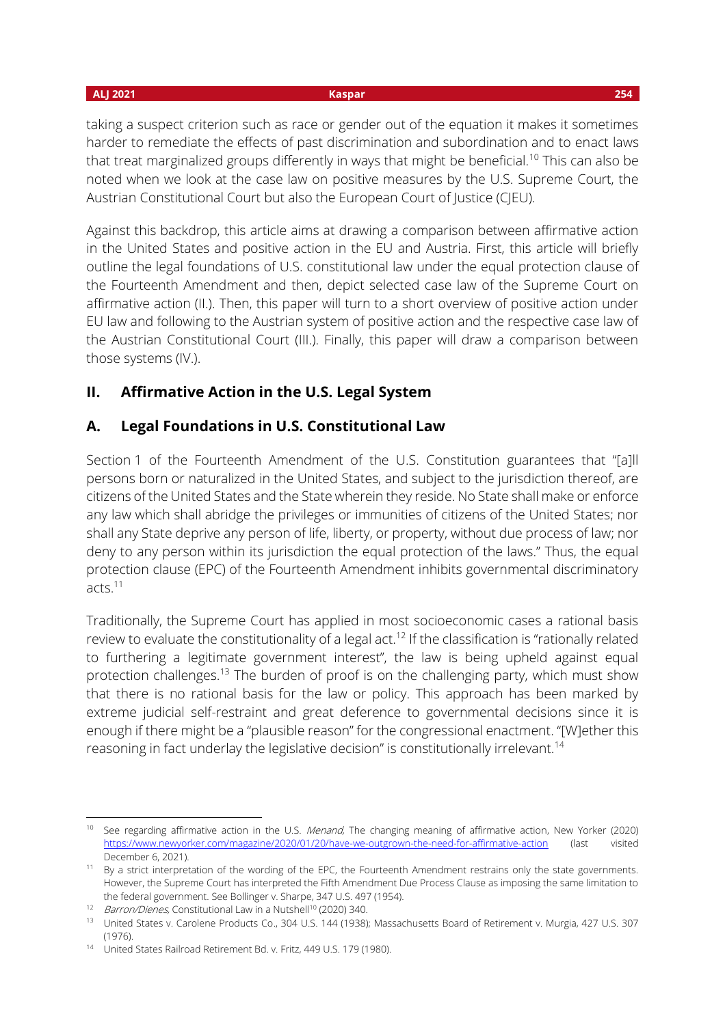taking a suspect criterion such as race or gender out of the equation it makes it sometimes harder to remediate the effects of past discrimination and subordination and to enact laws that treat marginalized groups differently in ways that might be beneficial.<sup>10</sup> This can also be noted when we look at the case law on positive measures by the U.S. Supreme Court, the Austrian Constitutional Court but also the European Court of Justice (CJEU).

Against this backdrop, this article aims at drawing a comparison between affirmative action in the United States and positive action in the EU and Austria. First, this article will briefly outline the legal foundations of U.S. constitutional law under the equal protection clause of the Fourteenth Amendment and then, depict selected case law of the Supreme Court on affirmative action (II.). Then, this paper will turn to a short overview of positive action under EU law and following to the Austrian system of positive action and the respective case law of the Austrian Constitutional Court (III.). Finally, this paper will draw a comparison between those systems (IV.).

## **II. Affirmative Action in the U.S. Legal System**

## **A. Legal Foundations in U.S. Constitutional Law**

Section 1 of the Fourteenth Amendment of the U.S. Constitution guarantees that "[a]ll persons born or naturalized in the United States, and subject to the jurisdiction thereof, are citizens of the United States and the State wherein they reside. No State shall make or enforce any law which shall abridge the privileges or immunities of citizens of the United States; nor shall any State deprive any person of life, liberty, or property, without due process of law; nor deny to any person within its jurisdiction the equal protection of the laws." Thus, the equal protection clause (EPC) of the Fourteenth Amendment inhibits governmental discriminatory acts.<sup>11</sup>

Traditionally, the Supreme Court has applied in most socioeconomic cases a rational basis review to evaluate the constitutionality of a legal act.<sup>12</sup> If the classification is "rationally related to furthering a legitimate government interest", the law is being upheld against equal protection challenges.<sup>13</sup> The burden of proof is on the challenging party, which must show that there is no rational basis for the law or policy. This approach has been marked by extreme judicial self-restraint and great deference to governmental decisions since it is enough if there might be a "plausible reason" for the congressional enactment. "[W]ether this reasoning in fact underlay the legislative decision" is constitutionally irrelevant.<sup>14</sup>

 <sup>10</sup> See regarding affirmative action in the U.S. Menand, The changing meaning of affirmative action, New Yorker (2020) <https://www.newyorker.com/magazine/2020/01/20/have-we-outgrown-the-need-for-affirmative-action> (last visited December 6, 2021).

<sup>&</sup>lt;sup>11</sup> By a strict interpretation of the wording of the EPC, the Fourteenth Amendment restrains only the state governments. However, the Supreme Court has interpreted the Fifth Amendment Due Process Clause as imposing the same limitation to the federal government. See Bollinger v. Sharpe, 347 U.S. 497 (1954).

<sup>12</sup> Barron/Dienes, Constitutional Law in a Nutshell<sup>10</sup> (2020) 340.

<sup>&</sup>lt;sup>13</sup> United States v. Carolene Products Co., 304 U.S. 144 (1938); Massachusetts Board of Retirement v. Murgia, 427 U.S. 307 (1976).

<sup>14</sup> United States Railroad Retirement Bd. v. Fritz, 449 U.S. 179 (1980).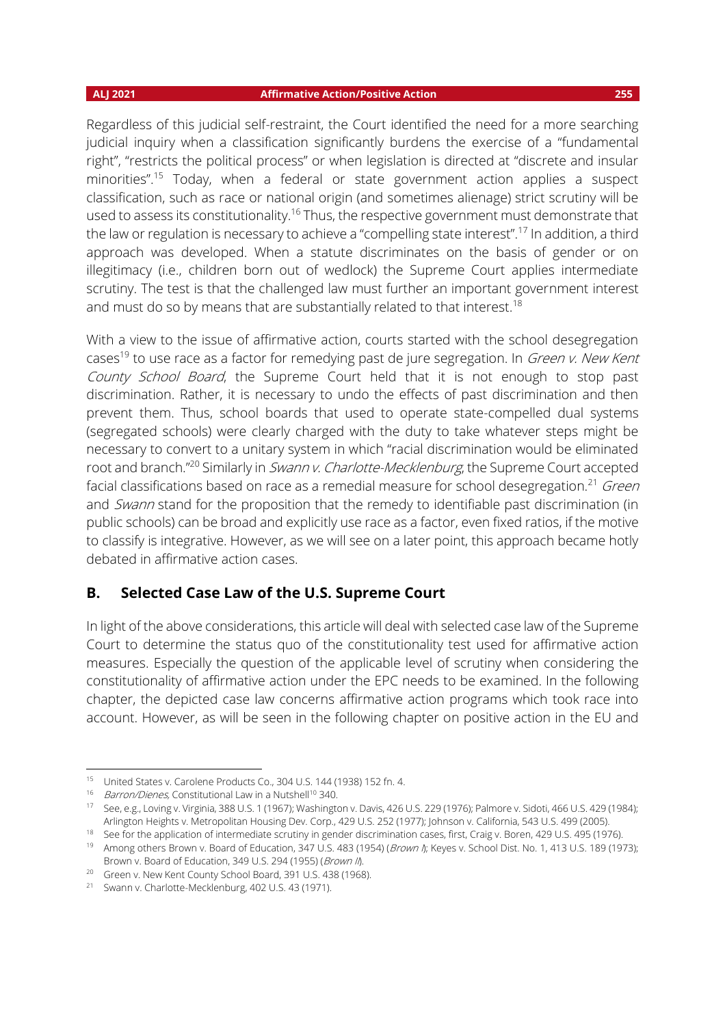Regardless of this judicial self-restraint, the Court identified the need for a more searching judicial inquiry when a classification significantly burdens the exercise of a "fundamental right", "restricts the political process" or when legislation is directed at "discrete and insular minorities".<sup>15</sup> Today, when a federal or state government action applies a suspect classification, such as race or national origin (and sometimes alienage) strict scrutiny will be used to assess its constitutionality.<sup>16</sup> Thus, the respective government must demonstrate that the law or regulation is necessary to achieve a "compelling state interest".<sup>17</sup> In addition, a third approach was developed. When a statute discriminates on the basis of gender or on illegitimacy (i.e., children born out of wedlock) the Supreme Court applies intermediate scrutiny. The test is that the challenged law must further an important government interest and must do so by means that are substantially related to that interest.<sup>18</sup>

With a view to the issue of affirmative action, courts started with the school desegregation cases<sup>19</sup> to use race as a factor for remedying past de jure segregation. In *Green v. New Kent* County School Board, the Supreme Court held that it is not enough to stop past discrimination. Rather, it is necessary to undo the effects of past discrimination and then prevent them. Thus, school boards that used to operate state-compelled dual systems (segregated schools) were clearly charged with the duty to take whatever steps might be necessary to convert to a unitary system in which "racial discrimination would be eliminated root and branch."<sup>20</sup> Similarly in *Swann v. Charlotte-Mecklenburg*, the Supreme Court accepted facial classifications based on race as a remedial measure for school desegregation.<sup>21</sup> Green and Swann stand for the proposition that the remedy to identifiable past discrimination (in public schools) can be broad and explicitly use race as a factor, even fixed ratios, if the motive to classify is integrative. However, as we will see on a later point, this approach became hotly debated in affirmative action cases.

### **B. Selected Case Law of the U.S. Supreme Court**

In light of the above considerations, this article will deal with selected case law of the Supreme Court to determine the status quo of the constitutionality test used for affirmative action measures. Especially the question of the applicable level of scrutiny when considering the constitutionality of affirmative action under the EPC needs to be examined. In the following chapter, the depicted case law concerns affirmative action programs which took race into account. However, as will be seen in the following chapter on positive action in the EU and

<sup>15</sup> United States v. Carolene Products Co., 304 U.S. 144 (1938) 152 fn. 4.

<sup>16</sup> Barron/Dienes, Constitutional Law in a Nutshell<sup>10</sup> 340.

<sup>17</sup> See, e.g., Loving v. Virginia, 388 U.S. 1 (1967); Washington v. Davis, 426 U.S. 229 (1976); Palmore v. Sidoti, 466 U.S. 429 (1984); Arlington Heights v. Metropolitan Housing Dev. Corp., 429 U.S. 252 (1977); Johnson v. California, 543 U.S. 499 (2005).

<sup>18</sup> See for the application of intermediate scrutiny in gender discrimination cases, first, Craig v. Boren, 429 U.S. 495 (1976). 19 Among others Brown v. Board of Education, 347 U.S. 483 (1954) (*Brown I*); Keyes v. School Dist. No. 1, 413 U.S. 189 (1973); Brown v. Board of Education, 349 U.S. 294 (1955) (*Brown II*).

<sup>&</sup>lt;sup>20</sup> Green v. New Kent County School Board, 391 U.S. 438 (1968).

<sup>21</sup> Swann v. Charlotte-Mecklenburg, 402 U.S. 43 (1971).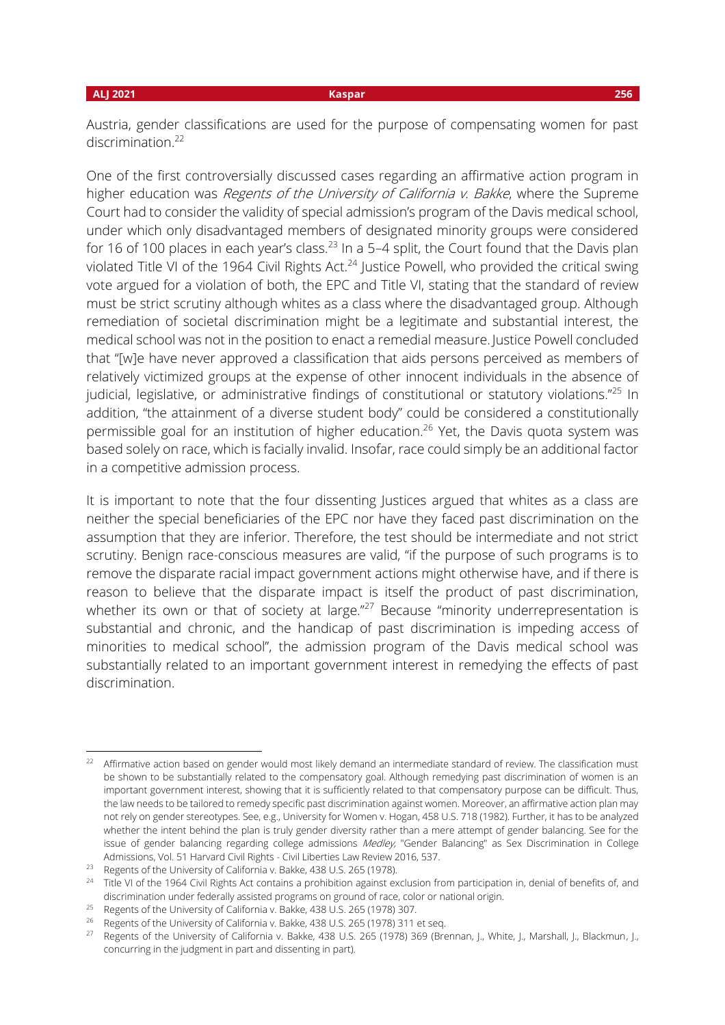### **ALJ 2021 Kaspar 256**

Austria, gender classifications are used for the purpose of compensating women for past discrimination.<sup>22</sup>

One of the first controversially discussed cases regarding an affirmative action program in higher education was *Regents of the University of California v. Bakke*, where the Supreme Court had to consider the validity of special admission's program of the Davis medical school, under which only disadvantaged members of designated minority groups were considered for 16 of 100 places in each year's class.<sup>23</sup> In a 5-4 split, the Court found that the Davis plan violated Title VI of the 1964 Civil Rights Act.<sup>24</sup> Justice Powell, who provided the critical swing vote argued for a violation of both, the EPC and Title VI, stating that the standard of review must be strict scrutiny although whites as a class where the disadvantaged group. Although remediation of societal discrimination might be a legitimate and substantial interest, the medical school was not in the position to enact a remedial measure. Justice Powell concluded that "[w]e have never approved a classification that aids persons perceived as members of relatively victimized groups at the expense of other innocent individuals in the absence of judicial, legislative, or administrative findings of constitutional or statutory violations."<sup>25</sup> In addition, "the attainment of a diverse student body" could be considered a constitutionally permissible goal for an institution of higher education.<sup>26</sup> Yet, the Davis quota system was based solely on race, which is facially invalid. Insofar, race could simply be an additional factor in a competitive admission process.

It is important to note that the four dissenting Justices argued that whites as a class are neither the special beneficiaries of the EPC nor have they faced past discrimination on the assumption that they are inferior. Therefore, the test should be intermediate and not strict scrutiny. Benign race-conscious measures are valid, "if the purpose of such programs is to remove the disparate racial impact government actions might otherwise have, and if there is reason to believe that the disparate impact is itself the product of past discrimination, whether its own or that of society at large." $^{27}$  Because "minority underrepresentation is substantial and chronic, and the handicap of past discrimination is impeding access of minorities to medical school", the admission program of the Davis medical school was substantially related to an important government interest in remedying the effects of past discrimination.

<sup>22</sup> Affirmative action based on gender would most likely demand an intermediate standard of review. The classification must be shown to be substantially related to the compensatory goal. Although remedying past discrimination of women is an important government interest, showing that it is sufficiently related to that compensatory purpose can be difficult. Thus, the law needs to be tailored to remedy specific past discrimination against women. Moreover, an affirmative action plan may not rely on gender stereotypes. See, e.g., University for Women v. Hogan, 458 U.S. 718 (1982). Further, it has to be analyzed whether the intent behind the plan is truly gender diversity rather than a mere attempt of gender balancing. See for the issue of gender balancing regarding college admissions Medley, "Gender Balancing" as Sex Discrimination in College Admissions, Vol. 51 Harvard Civil Rights - Civil Liberties Law Review 2016, 537.

<sup>&</sup>lt;sup>23</sup> Regents of the University of California v. Bakke, 438 U.S. 265 (1978).

<sup>&</sup>lt;sup>24</sup> Title VI of the 1964 Civil Rights Act contains a prohibition against exclusion from participation in, denial of benefits of, and discrimination under federally assisted programs on ground of race, color or national origin.

<sup>&</sup>lt;sup>25</sup> Regents of the University of California v. Bakke, 438 U.S. 265 (1978) 307.

<sup>&</sup>lt;sup>26</sup> Regents of the University of California v. Bakke, 438 U.S. 265 (1978) 311 et seq.

<sup>&</sup>lt;sup>27</sup> Regents of the University of California v. Bakke, 438 U.S. 265 (1978) 369 (Brennan, J., White, J., Marshall, J., Blackmun, J., concurring in the judgment in part and dissenting in part).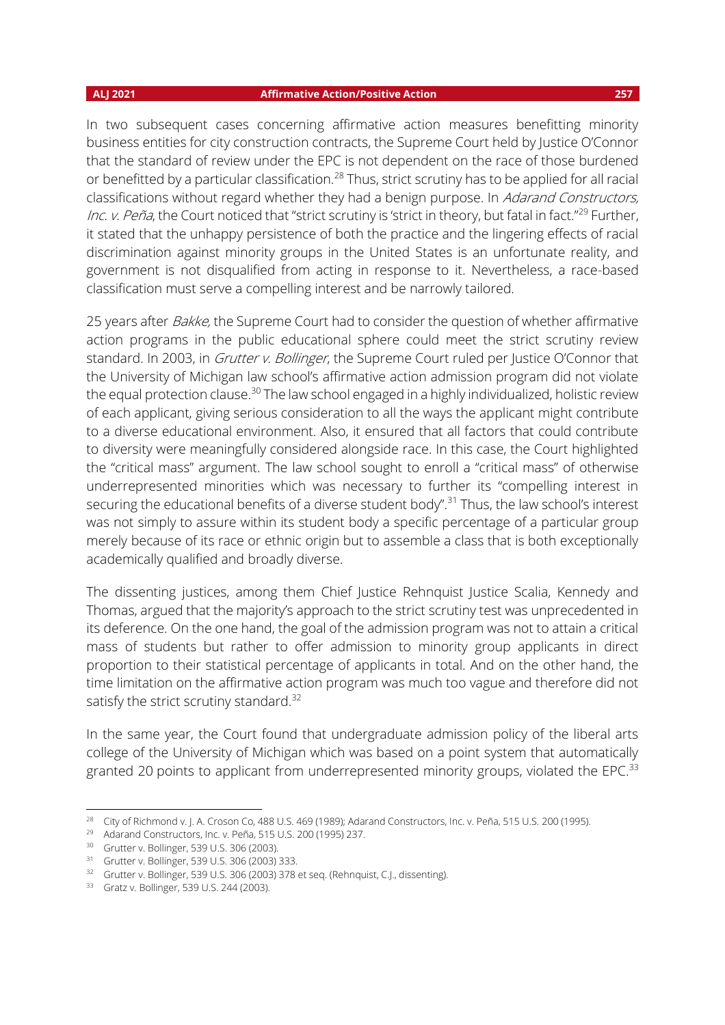In two subsequent cases concerning affirmative action measures benefitting minority business entities for city construction contracts, the Supreme Court held by Justice O'Connor that the standard of review under the EPC is not dependent on the race of those burdened or benefitted by a particular classification.<sup>28</sup> Thus, strict scrutiny has to be applied for all racial classifications without regard whether they had a benign purpose. In Adarand Constructors, Inc. v. Peña, the Court noticed that "strict scrutiny is 'strict in theory, but fatal in fact."<sup>29</sup> Further, it stated that the unhappy persistence of both the practice and the lingering effects of racial discrimination against minority groups in the United States is an unfortunate reality, and government is not disqualified from acting in response to it. Nevertheless, a race-based classification must serve a compelling interest and be narrowly tailored.

25 years after *Bakke*, the Supreme Court had to consider the question of whether affirmative action programs in the public educational sphere could meet the strict scrutiny review standard. In 2003, in *Grutter v. Bollinger*, the Supreme Court ruled per Justice O'Connor that the University of Michigan law school's affirmative action admission program did not violate the equal protection clause.<sup>30</sup> The law school engaged in a highly individualized, holistic review of each applicant, giving serious consideration to all the ways the applicant might contribute to a diverse educational environment. Also, it ensured that all factors that could contribute to diversity were meaningfully considered alongside race. In this case, the Court highlighted the "critical mass" argument. The law school sought to enroll a "critical mass" of otherwise underrepresented minorities which was necessary to further its "compelling interest in securing the educational benefits of a diverse student body".<sup>31</sup> Thus, the law school's interest was not simply to assure within its student body a specific percentage of a particular group merely because of its race or ethnic origin but to assemble a class that is both exceptionally academically qualified and broadly diverse.

The dissenting justices, among them Chief Justice Rehnquist Justice Scalia, Kennedy and Thomas, argued that the majority's approach to the strict scrutiny test was unprecedented in its deference. On the one hand, the goal of the admission program was not to attain a critical mass of students but rather to offer admission to minority group applicants in direct proportion to their statistical percentage of applicants in total. And on the other hand, the time limitation on the affirmative action program was much too vague and therefore did not satisfy the strict scrutiny standard.<sup>32</sup>

In the same year, the Court found that undergraduate admission policy of the liberal arts college of the University of Michigan which was based on a point system that automatically granted 20 points to applicant from underrepresented minority groups, violated the EPC.<sup>33</sup>

<sup>&</sup>lt;sup>28</sup> City of Richmond v. J. A. Croson Co, 488 U.S. 469 (1989); Adarand Constructors, Inc. v. Peña, 515 U.S. 200 (1995).

<sup>29</sup> Adarand Constructors, Inc. v. Peña, 515 U.S. 200 (1995) 237.

<sup>30</sup> Grutter v. Bollinger, 539 U.S. 306 (2003).

<sup>31</sup> Grutter v. Bollinger, 539 U.S. 306 (2003) 333.

<sup>&</sup>lt;sup>32</sup> Grutter v. Bollinger, 539 U.S. 306 (2003) 378 et seq. (Rehnquist, C.J., dissenting).

<sup>33</sup> Gratz v. Bollinger, 539 U.S. 244 (2003).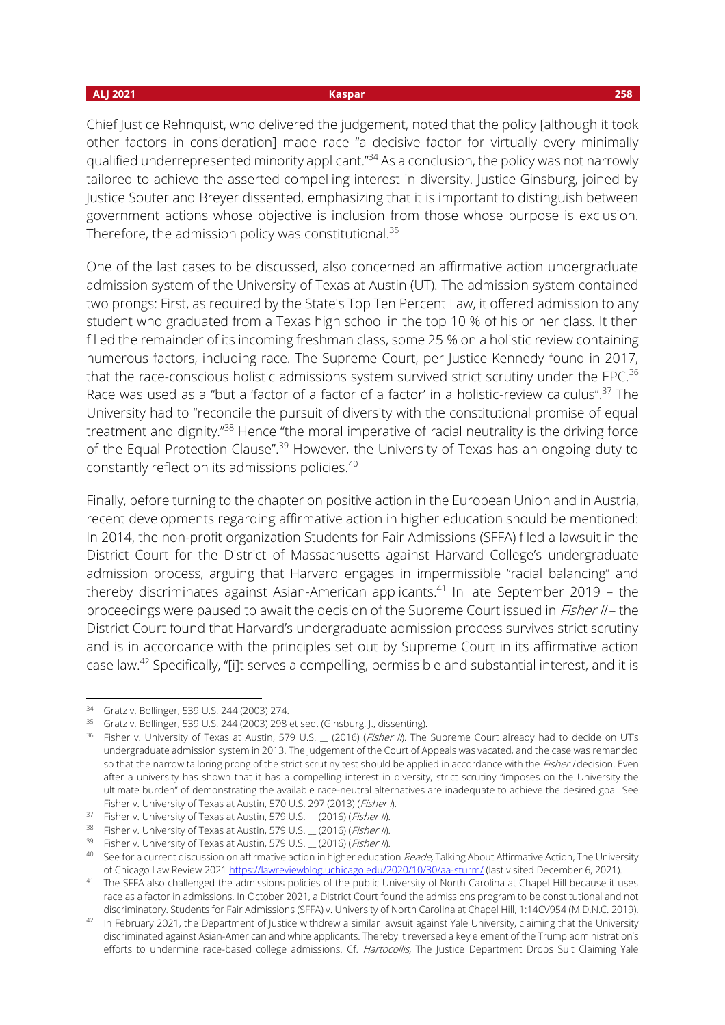Chief Justice Rehnquist, who delivered the judgement, noted that the policy [although it took other factors in consideration] made race "a decisive factor for virtually every minimally qualified underrepresented minority applicant."<sup>34</sup> As a conclusion, the policy was not narrowly tailored to achieve the asserted compelling interest in diversity. Justice Ginsburg, joined by Justice Souter and Breyer dissented, emphasizing that it is important to distinguish between government actions whose objective is inclusion from those whose purpose is exclusion. Therefore, the admission policy was constitutional.<sup>35</sup>

One of the last cases to be discussed, also concerned an affirmative action undergraduate admission system of the University of Texas at Austin (UT). The admission system contained two prongs: First, as required by the State's Top Ten Percent Law, it offered admission to any student who graduated from a Texas high school in the top 10 % of his or her class. It then filled the remainder of its incoming freshman class, some 25 % on a holistic review containing numerous factors, including race. The Supreme Court, per Justice Kennedy found in 2017, that the race-conscious holistic admissions system survived strict scrutiny under the EPC. $36$ Race was used as a "but a 'factor of a factor of a factor' in a holistic-review calculus".<sup>37</sup> The University had to "reconcile the pursuit of diversity with the constitutional promise of equal treatment and dignity."<sup>38</sup> Hence "the moral imperative of racial neutrality is the driving force of the Equal Protection Clause".<sup>39</sup> However, the University of Texas has an ongoing duty to constantly reflect on its admissions policies.<sup>40</sup>

Finally, before turning to the chapter on positive action in the European Union and in Austria, recent developments regarding affirmative action in higher education should be mentioned: In 2014, the non-profit organization Students for Fair Admissions (SFFA) filed a lawsuit in the District Court for the District of Massachusetts against Harvard College's undergraduate admission process, arguing that Harvard engages in impermissible "racial balancing" and thereby discriminates against Asian-American applicants.<sup>41</sup> In late September 2019 – the proceedings were paused to await the decision of the Supreme Court issued in *Fisher II* – the District Court found that Harvard's undergraduate admission process survives strict scrutiny and is in accordance with the principles set out by Supreme Court in its affirmative action case law.<sup>42</sup> Specifically, "[i]t serves a compelling, permissible and substantial interest, and it is

<sup>34</sup> Gratz v. Bollinger, 539 U.S. 244 (2003) 274.

<sup>35</sup> Gratz v. Bollinger, 539 U.S. 244 (2003) 298 et seq. (Ginsburg, J., dissenting).

<sup>&</sup>lt;sup>36</sup> Fisher v. University of Texas at Austin, 579 U.S.  $(2016)$  (*Fisher II*). The Supreme Court already had to decide on UT's undergraduate admission system in 2013. The judgement of the Court of Appeals was vacated, and the case was remanded so that the narrow tailoring prong of the strict scrutiny test should be applied in accordance with the Fisher I decision. Even after a university has shown that it has a compelling interest in diversity, strict scrutiny "imposes on the University the ultimate burden" of demonstrating the available race-neutral alternatives are inadequate to achieve the desired goal. See Fisher v. University of Texas at Austin, 570 U.S. 297 (2013) (Fisher I).

 $37$  Fisher v. University of Texas at Austin, 579 U.S.  $\_$  (2016) (*Fisher II*).

<sup>&</sup>lt;sup>38</sup> Fisher v. University of Texas at Austin, 579 U.S. \_ (2016) (Fisher II).

<sup>39</sup> Fisher v. University of Texas at Austin, 579 U.S. \_ (2016) (Fisher II).

<sup>&</sup>lt;sup>40</sup> See for a current discussion on affirmative action in higher education Reade, Talking About Affirmative Action, The University of Chicago Law Review 202[1 https://lawreviewblog.uchicago.edu/2020/10/30/aa-sturm/](https://lawreviewblog.uchicago.edu/2020/10/30/aa-sturm/) (last visited December 6, 2021).

<sup>41</sup> The SFFA also challenged the admissions policies of the public University of North Carolina at Chapel Hill because it uses race as a factor in admissions. In October 2021, a District Court found the admissions program to be constitutional and not discriminatory. Students for Fair Admissions (SFFA) v. University of North Carolina at Chapel Hill, 1:14CV954 (M.D.N.C. 2019).

<sup>&</sup>lt;sup>42</sup> In February 2021, the Department of Justice withdrew a similar lawsuit against Yale University, claiming that the University discriminated against Asian-American and white applicants. Thereby it reversed a key element of the Trump administration's efforts to undermine race-based college admissions. Cf. Hartocollis, The Justice Department Drops Suit Claiming Yale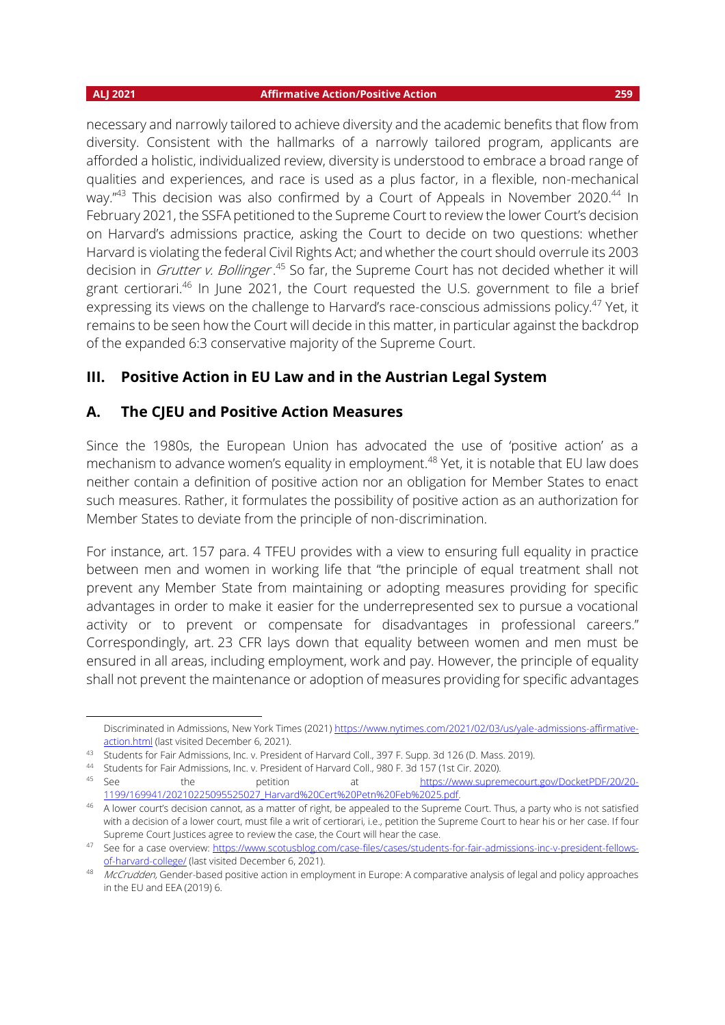necessary and narrowly tailored to achieve diversity and the academic benefits that flow from diversity. Consistent with the hallmarks of a narrowly tailored program, applicants are afforded a holistic, individualized review, diversity is understood to embrace a broad range of qualities and experiences, and race is used as a plus factor, in a flexible, non-mechanical way." $43$  This decision was also confirmed by a Court of Appeals in November 2020. $44$  In February 2021, the SSFA petitioned to the Supreme Court to review the lower Court's decision on Harvard's admissions practice, asking the Court to decide on two questions: whether Harvard is violating the federal Civil Rights Act; and whether the court should overrule its 2003 decision in *Grutter v. Bollinger* .<sup>45</sup> So far, the Supreme Court has not decided whether it will grant certiorari.<sup>46</sup> In June 2021, the Court requested the U.S. government to file a brief expressing its views on the challenge to Harvard's race-conscious admissions policy.<sup>47</sup> Yet, it remains to be seen how the Court will decide in this matter, in particular against the backdrop of the expanded 6:3 conservative majority of the Supreme Court.

## **III. Positive Action in EU Law and in the Austrian Legal System**

## **A. The CJEU and Positive Action Measures**

Since the 1980s, the European Union has advocated the use of 'positive action' as a mechanism to advance women's equality in employment.<sup>48</sup> Yet, it is notable that EU law does neither contain a definition of positive action nor an obligation for Member States to enact such measures. Rather, it formulates the possibility of positive action as an authorization for Member States to deviate from the principle of non-discrimination.

For instance, art. 157 para. 4 TFEU provides with a view to ensuring full equality in practice between men and women in working life that "the principle of equal treatment shall not prevent any Member State from maintaining or adopting measures providing for specific advantages in order to make it easier for the underrepresented sex to pursue a vocational activity or to prevent or compensate for disadvantages in professional careers." Correspondingly, art. 23 CFR lays down that equality between women and men must be ensured in all areas, including employment, work and pay. However, the principle of equality shall not prevent the maintenance or adoption of measures providing for specific advantages

Discriminated in Admissions, New York Times (2021) [https://www.nytimes.com/2021/02/03/us/yale-admissions-affirmative](https://www.nytimes.com/2021/02/03/us/yale-admissions-affirmative-action.html)[action.html](https://www.nytimes.com/2021/02/03/us/yale-admissions-affirmative-action.html) (last visited December 6, 2021).

<sup>43</sup> Students for Fair Admissions, Inc. v. President of Harvard Coll., 397 F. Supp. 3d 126 (D. Mass. 2019).

<sup>44</sup> Students for Fair Admissions, Inc. v. President of Harvard Coll., 980 F. 3d 157 (1st Cir. 2020).<br>45 See the petition at https://www.supren

the petition at https://www.supremecourt.gov/DocketPDF/20/20-1199/169941/20210225095525027\_Harvard%20Cert%20Petn%20Feb%2025.pdf.

<sup>&</sup>lt;sup>46</sup> A lower court's decision cannot, as a matter of right, be appealed to the Supreme Court. Thus, a party who is not satisfied with a decision of a lower court, must file a writ of certiorari, i.e., petition the Supreme Court to hear his or her case. If four Supreme Court Justices agree to review the case, the Court will hear the case.

<sup>47</sup> See for a case overview: [https://www.scotusblog.com/case-files/cases/students-for-fair-admissions-inc-v-president-fellows](https://www.scotusblog.com/case-files/cases/students-for-fair-admissions-inc-v-president-fellows-of-harvard-college/)[of-harvard-college/](https://www.scotusblog.com/case-files/cases/students-for-fair-admissions-inc-v-president-fellows-of-harvard-college/) (last visited December 6, 2021).

<sup>48</sup> McCrudden, Gender-based positive action in employment in Europe: A comparative analysis of legal and policy approaches in the EU and EEA (2019) 6.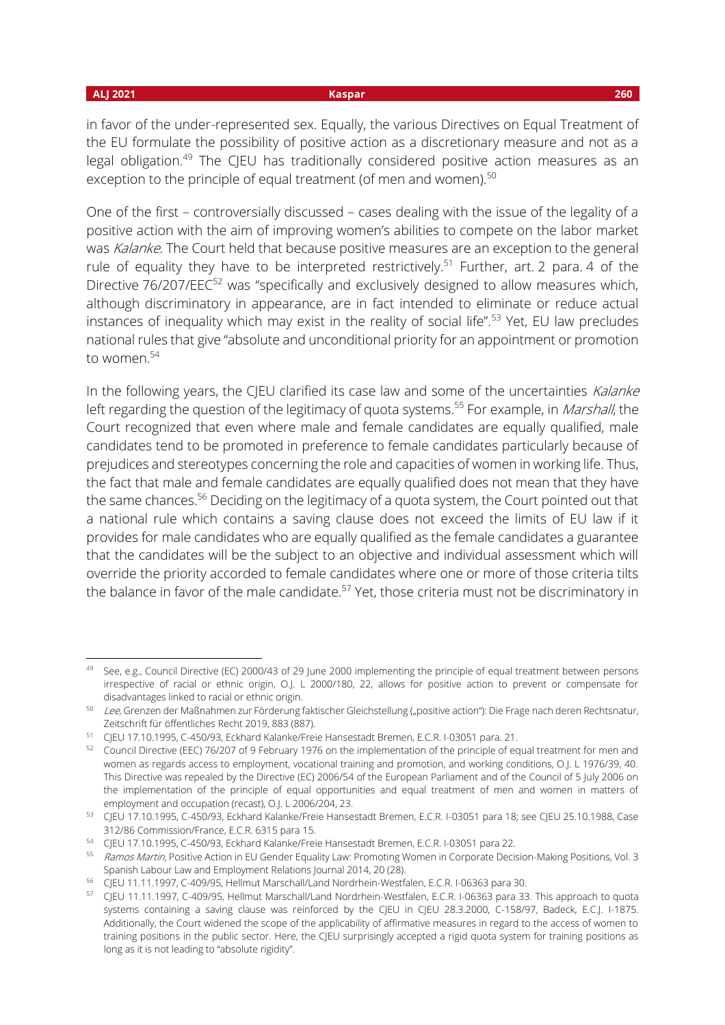### **ALJ 2021 Kaspar 260**

in favor of the under-represented sex. Equally, the various Directives on Equal Treatment of the EU formulate the possibility of positive action as a discretionary measure and not as a legal obligation.<sup>49</sup> The CJEU has traditionally considered positive action measures as an exception to the principle of equal treatment (of men and women).<sup>50</sup>

One of the first – controversially discussed – cases dealing with the issue of the legality of a positive action with the aim of improving women's abilities to compete on the labor market was Kalanke. The Court held that because positive measures are an exception to the general rule of equality they have to be interpreted restrictively.<sup>51</sup> Further, art. 2 para. 4 of the Directive 76/207/EEC<sup>52</sup> was "specifically and exclusively designed to allow measures which, although discriminatory in appearance, are in fact intended to eliminate or reduce actual instances of inequality which may exist in the reality of social life".<sup>53</sup> Yet, EU law precludes national rules that give "absolute and unconditional priority for an appointment or promotion to women.<sup>54</sup>

In the following years, the CJEU clarified its case law and some of the uncertainties Kalanke left regarding the question of the legitimacy of quota systems.<sup>55</sup> For example, in *Marshall*, the Court recognized that even where male and female candidates are equally qualified, male candidates tend to be promoted in preference to female candidates particularly because of prejudices and stereotypes concerning the role and capacities of women in working life. Thus, the fact that male and female candidates are equally qualified does not mean that they have the same chances.<sup>56</sup> Deciding on the legitimacy of a quota system, the Court pointed out that a national rule which contains a saving clause does not exceed the limits of EU law if it provides for male candidates who are equally qualified as the female candidates a guarantee that the candidates will be the subject to an objective and individual assessment which will override the priority accorded to female candidates where one or more of those criteria tilts the balance in favor of the male candidate.<sup>57</sup> Yet, those criteria must not be discriminatory in

<sup>&</sup>lt;sup>49</sup> See, e.g., Council Directive (EC) 2000/43 of 29 June 2000 implementing the principle of equal treatment between persons irrespective of racial or ethnic origin, O.J. L 2000/180, 22, allows for positive action to prevent or compensate for disadvantages linked to racial or ethnic origin.

<sup>&</sup>lt;sup>50</sup> Lee, Grenzen der Maßnahmen zur Förderung faktischer Gleichstellung ("positive action"): Die Frage nach deren Rechtsnatur, Zeitschrift für öffentliches Recht 2019, 883 (887).

<sup>51</sup> CJEU 17.10.1995, C-450/93, Eckhard Kalanke/Freie Hansestadt Bremen, E.C.R. I-03051 para. 21.

<sup>52</sup> Council Directive (EEC) 76/207 of 9 February 1976 on the implementation of the principle of equal treatment for men and women as regards access to employment, vocational training and promotion, and working conditions, O.J. L 1976/39, 40. This Directive was repealed by the Directive (EC) 2006/54 of the European Parliament and of the Council of 5 July 2006 on the implementation of the principle of equal opportunities and equal treatment of men and women in matters of employment and occupation (recast), O.J. L 2006/204, 23.

<sup>53</sup> CJEU 17.10.1995, C-450/93, Eckhard Kalanke/Freie Hansestadt Bremen, E.C.R. I-03051 para 18; see CJEU 25.10.1988, Case 312/86 Commission/France, E.C.R. 6315 para 15.

<sup>54</sup> CJEU 17.10.1995, C-450/93, Eckhard Kalanke/Freie Hansestadt Bremen, E.C.R. I-03051 para 22.

<sup>55</sup> Ramos Martin, Positive Action in EU Gender Equality Law: Promoting Women in Corporate Decision-Making Positions, Vol. 3 Spanish Labour Law and Employment Relations Journal 2014, 20 (28).

<sup>56</sup> CJEU 11.11.1997, C-409/95, Hellmut Marschall/Land Nordrhein-Westfalen, E.C.R. I-06363 para 30.

<sup>57</sup> CJEU 11.11.1997, C-409/95, Hellmut Marschall/Land Nordrhein-Westfalen, E.C.R. I-06363 para 33. This approach to quota systems containing a saving clause was reinforced by the CJEU in CJEU 28.3.2000, C-158/97, Badeck, E.C.J. I-1875. Additionally, the Court widened the scope of the applicability of affirmative measures in regard to the access of women to training positions in the public sector. Here, the CJEU surprisingly accepted a rigid quota system for training positions as long as it is not leading to "absolute rigidity".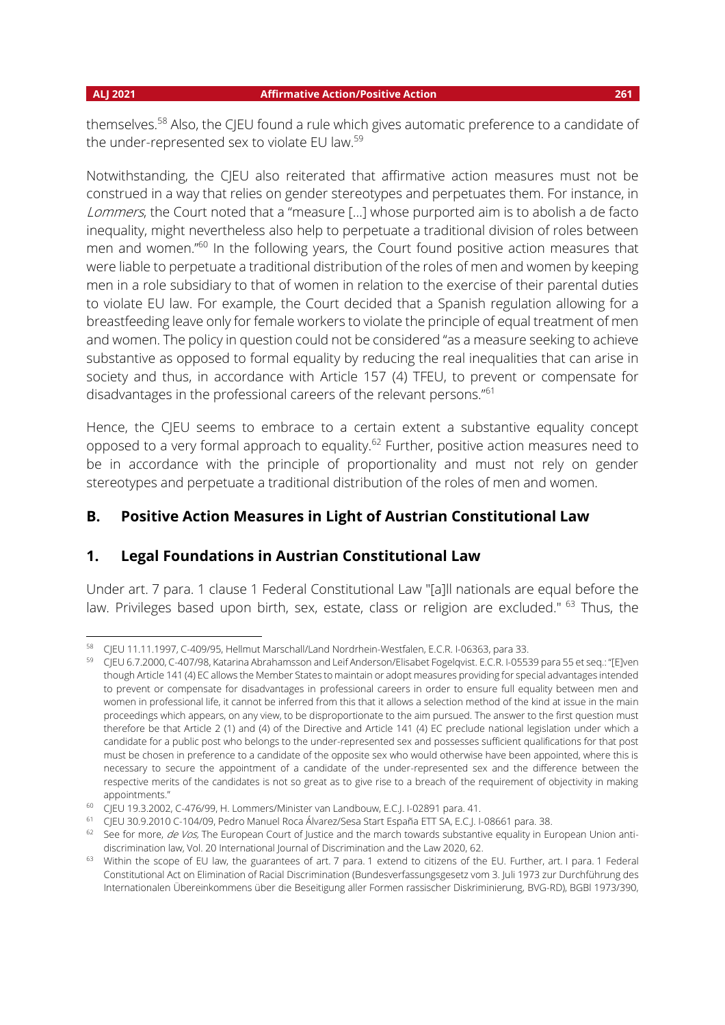themselves.<sup>58</sup> Also, the CJEU found a rule which gives automatic preference to a candidate of the under-represented sex to violate EU law.<sup>59</sup>

Notwithstanding, the CJEU also reiterated that affirmative action measures must not be construed in a way that relies on gender stereotypes and perpetuates them. For instance, in Lommers, the Court noted that a "measure [...] whose purported aim is to abolish a de facto inequality, might nevertheless also help to perpetuate a traditional division of roles between men and women."<sup>60</sup> In the following years, the Court found positive action measures that were liable to perpetuate a traditional distribution of the roles of men and women by keeping men in a role subsidiary to that of women in relation to the exercise of their parental duties to violate EU law. For example, the Court decided that a Spanish regulation allowing for a breastfeeding leave only for female workers to violate the principle of equal treatment of men and women. The policy in question could not be considered "as a measure seeking to achieve substantive as opposed to formal equality by reducing the real inequalities that can arise in society and thus, in accordance with Article 157 (4) TFEU, to prevent or compensate for disadvantages in the professional careers of the relevant persons."<sup>61</sup>

Hence, the CJEU seems to embrace to a certain extent a substantive equality concept opposed to a very formal approach to equality.<sup>62</sup> Further, positive action measures need to be in accordance with the principle of proportionality and must not rely on gender stereotypes and perpetuate a traditional distribution of the roles of men and women.

## **B. Positive Action Measures in Light of Austrian Constitutional Law**

## **1. Legal Foundations in Austrian Constitutional Law**

Under art. 7 para. 1 clause 1 Federal Constitutional Law "[a]ll nationals are equal before the law. Privileges based upon birth, sex, estate, class or religion are excluded." <sup>63</sup> Thus, the

<sup>58</sup> CJEU 11.11.1997, C-409/95, Hellmut Marschall/Land Nordrhein-Westfalen, E.C.R. I-06363, para 33.

<sup>59</sup> CJEU 6.7.2000, C-407/98, Katarina Abrahamsson and Leif Anderson/Elisabet Fogelqvist. E.C.R. I-05539 para 55 et seq.: "[E]ven though Article 141 (4) EC allows the Member States to maintain or adopt measures providing for special advantages intended to prevent or compensate for disadvantages in professional careers in order to ensure full equality between men and women in professional life, it cannot be inferred from this that it allows a selection method of the kind at issue in the main proceedings which appears, on any view, to be disproportionate to the aim pursued. The answer to the first question must therefore be that Article 2 (1) and (4) of the Directive and Article 141 (4) EC preclude national legislation under which a candidate for a public post who belongs to the under-represented sex and possesses sufficient qualifications for that post must be chosen in preference to a candidate of the opposite sex who would otherwise have been appointed, where this is necessary to secure the appointment of a candidate of the under-represented sex and the difference between the respective merits of the candidates is not so great as to give rise to a breach of the requirement of objectivity in making appointments."

<sup>60</sup> CJEU 19.3.2002, C-476/99, H. Lommers/Minister van Landbouw, E.C.J. I-02891 para. 41.

<sup>61</sup> CJEU 30.9.2010 C-104/09, Pedro Manuel Roca Álvarez/Sesa Start España ETT SA, E.C.J. I-08661 para. 38.

 $62$  See for more, de Vos, The European Court of Justice and the march towards substantive equality in European Union antidiscrimination law, Vol. 20 International Journal of Discrimination and the Law 2020, 62.

<sup>&</sup>lt;sup>63</sup> Within the scope of EU law, the guarantees of art. 7 para. 1 extend to citizens of the EU. Further, art. I para. 1 Federal Constitutional Act on Elimination of Racial Discrimination (Bundesverfassungsgesetz vom 3. Juli 1973 zur Durchführung des Internationalen Übereinkommens über die Beseitigung aller Formen rassischer Diskriminierung, BVG-RD), BGBl 1973/390,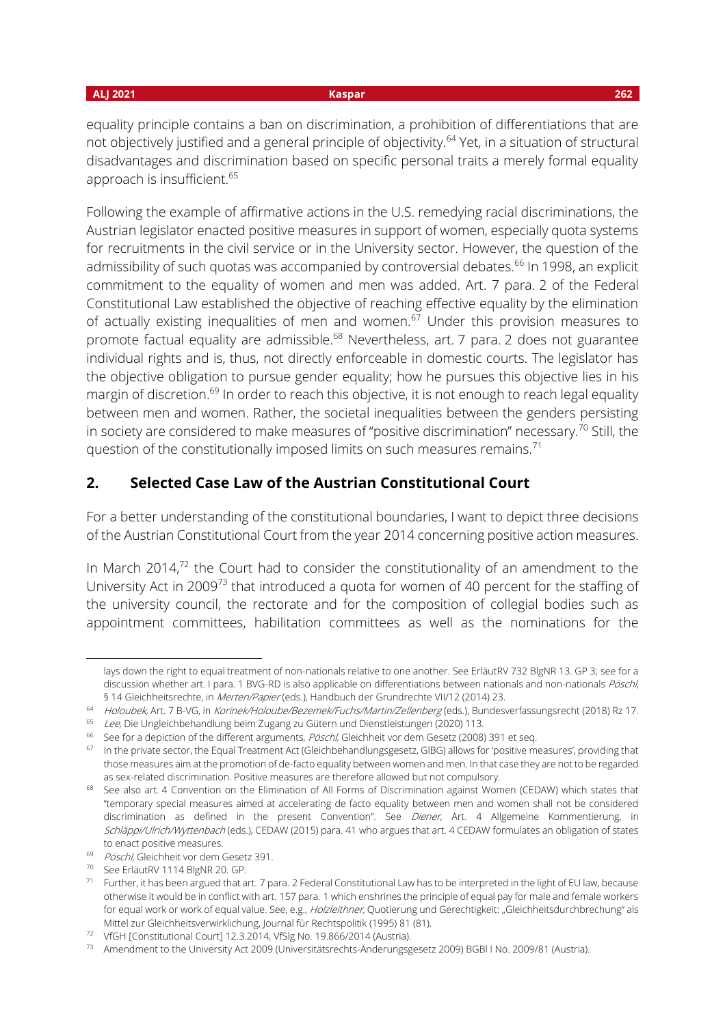equality principle contains a ban on discrimination, a prohibition of differentiations that are not objectively justified and a general principle of objectivity.<sup>64</sup> Yet, in a situation of structural disadvantages and discrimination based on specific personal traits a merely formal equality approach is insufficient.<sup>65</sup>

Following the example of affirmative actions in the U.S. remedying racial discriminations, the Austrian legislator enacted positive measures in support of women, especially quota systems for recruitments in the civil service or in the University sector. However, the question of the admissibility of such quotas was accompanied by controversial debates.<sup>66</sup> In 1998, an explicit commitment to the equality of women and men was added. Art. 7 para. 2 of the Federal Constitutional Law established the objective of reaching effective equality by the elimination of actually existing inequalities of men and women. $67$  Under this provision measures to promote factual equality are admissible.<sup>68</sup> Nevertheless, art. 7 para. 2 does not guarantee individual rights and is, thus, not directly enforceable in domestic courts. The legislator has the objective obligation to pursue gender equality; how he pursues this objective lies in his margin of discretion.<sup>69</sup> In order to reach this objective, it is not enough to reach legal equality between men and women. Rather, the societal inequalities between the genders persisting in society are considered to make measures of "positive discrimination" necessary.<sup>70</sup> Still, the question of the constitutionally imposed limits on such measures remains.<sup>71</sup>

## **2. Selected Case Law of the Austrian Constitutional Court**

For a better understanding of the constitutional boundaries, I want to depict three decisions of the Austrian Constitutional Court from the year 2014 concerning positive action measures.

In March 2014, $72$  the Court had to consider the constitutionality of an amendment to the University Act in 2009<sup>73</sup> that introduced a quota for women of 40 percent for the staffing of the university council, the rectorate and for the composition of collegial bodies such as appointment committees, habilitation committees as well as the nominations for the

lays down the right to equal treatment of non-nationals relative to one another. See ErläutRV 732 BlgNR 13. GP 3; see for a discussion whether art. I para. 1 BVG-RD is also applicable on differentiations between nationals and non-nationals Pöschl, § 14 Gleichheitsrechte, in Merten/Papier (eds.), Handbuch der Grundrechte VII/12 (2014) 23.

<sup>&</sup>lt;sup>64</sup> Holoubek, Art. 7 B-VG, in Korinek/Holoube/Bezemek/Fuchs/Martin/Zellenberg (eds.), Bundesverfassungsrecht (2018) Rz 17.

<sup>65</sup> Lee, Die Ungleichbehandlung beim Zugang zu Gütern und Dienstleistungen (2020) 113.

<sup>&</sup>lt;sup>66</sup> See for a depiction of the different arguments, Pöschl, Gleichheit vor dem Gesetz (2008) 391 et seq.

<sup>67</sup> In the private sector, the Equal Treatment Act (Gleichbehandlungsgesetz, GlBG) allows for 'positive measures', providing that those measures aim at the promotion of de-facto equality between women and men. In that case they are not to be regarded as sex-related discrimination. Positive measures are therefore allowed but not compulsory.

<sup>68</sup> See also art. 4 Convention on the Elimination of All Forms of Discrimination against Women (CEDAW) which states that "temporary special measures aimed at accelerating de facto equality between men and women shall not be considered discrimination as defined in the present Convention". See Diener, Art. 4 Allgemeine Kommentierung, in Schläppi/Ulrich/Wyttenbach (eds.), CEDAW (2015) para. 41 who argues that art. 4 CEDAW formulates an obligation of states to enact positive measures.

<sup>&</sup>lt;sup>69</sup> Pöschl, Gleichheit vor dem Gesetz 391.

<sup>70</sup> See ErläutRV 1114 BlgNR 20. GP.

 $71$  Further, it has been argued that art. 7 para. 2 Federal Constitutional Law has to be interpreted in the light of EU law, because otherwise it would be in conflict with art. 157 para. 1 which enshrines the principle of equal pay for male and female workers for equal work or work of equal value. See, e.g., Holzleithner, Quotierung und Gerechtigkeit: "Gleichheitsdurchbrechung" als Mittel zur Gleichheitsverwirklichung, Journal für Rechtspolitik (1995) 81 (81).

<sup>&</sup>lt;sup>72</sup> VfGH [Constitutional Court] 12.3.2014, VfSlg No. 19.866/2014 (Austria).

<sup>73</sup> Amendment to the University Act 2009 (Universitätsrechts-Änderungsgesetz 2009) BGBl I No. 2009/81 (Austria).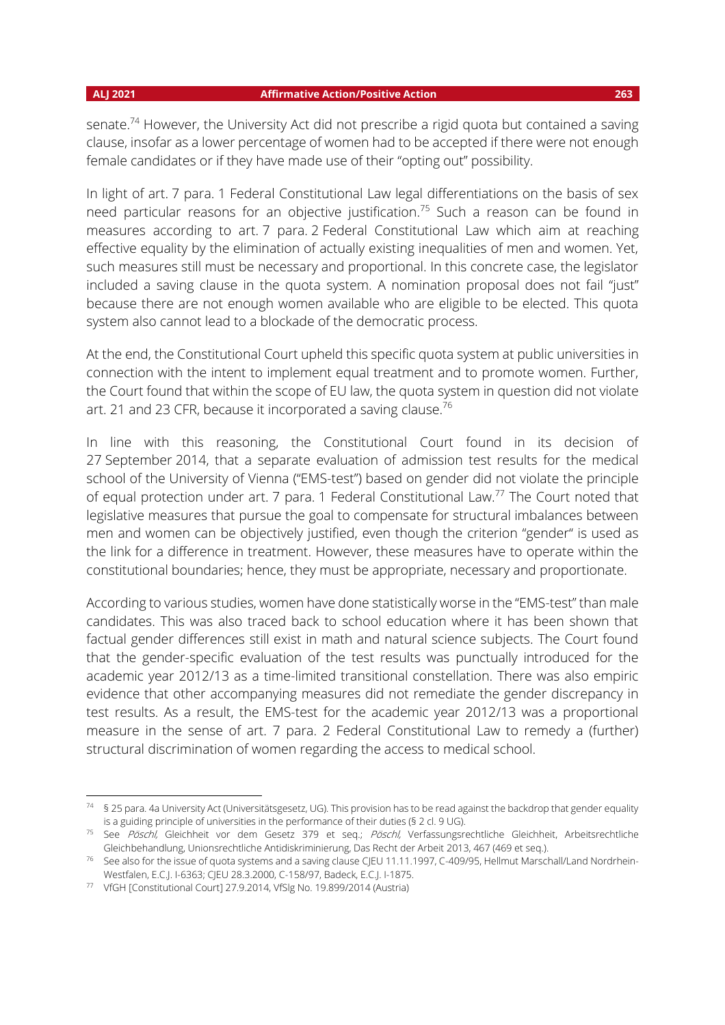senate.<sup>74</sup> However, the University Act did not prescribe a rigid quota but contained a saving clause, insofar as a lower percentage of women had to be accepted if there were not enough female candidates or if they have made use of their "opting out" possibility.

In light of art. 7 para. 1 Federal Constitutional Law legal differentiations on the basis of sex need particular reasons for an objective justification.<sup>75</sup> Such a reason can be found in measures according to art. 7 para. 2 Federal Constitutional Law which aim at reaching effective equality by the elimination of actually existing inequalities of men and women. Yet, such measures still must be necessary and proportional. In this concrete case, the legislator included a saving clause in the quota system. A nomination proposal does not fail "just" because there are not enough women available who are eligible to be elected. This quota system also cannot lead to a blockade of the democratic process.

At the end, the Constitutional Court upheld this specific quota system at public universities in connection with the intent to implement equal treatment and to promote women. Further, the Court found that within the scope of EU law, the quota system in question did not violate art. 21 and 23 CFR, because it incorporated a saving clause.<sup>76</sup>

In line with this reasoning, the Constitutional Court found in its decision of 27 September 2014, that a separate evaluation of admission test results for the medical school of the University of Vienna ("EMS-test") based on gender did not violate the principle of equal protection under art. 7 para. 1 Federal Constitutional Law.<sup>77</sup> The Court noted that legislative measures that pursue the goal to compensate for structural imbalances between men and women can be objectively justified, even though the criterion "gender" is used as the link for a difference in treatment. However, these measures have to operate within the constitutional boundaries; hence, they must be appropriate, necessary and proportionate.

According to various studies, women have done statistically worse in the "EMS-test" than male candidates. This was also traced back to school education where it has been shown that factual gender differences still exist in math and natural science subjects. The Court found that the gender-specific evaluation of the test results was punctually introduced for the academic year 2012/13 as a time-limited transitional constellation. There was also empiric evidence that other accompanying measures did not remediate the gender discrepancy in test results. As a result, the EMS-test for the academic year 2012/13 was a proportional measure in the sense of art. 7 para. 2 Federal Constitutional Law to remedy a (further) structural discrimination of women regarding the access to medical school.

<sup>74</sup> § 25 para. 4a University Act (Universitätsgesetz, UG). This provision has to be read against the backdrop that gender equality is a guiding principle of universities in the performance of their duties (§ 2 cl. 9 UG).

<sup>&</sup>lt;sup>75</sup> See Pöschl, Gleichheit vor dem Gesetz 379 et seq.; Pöschl, Verfassungsrechtliche Gleichheit, Arbeitsrechtliche Gleichbehandlung, Unionsrechtliche Antidiskriminierung, Das Recht der Arbeit 2013, 467 (469 et seq.).

<sup>&</sup>lt;sup>76</sup> See also for the issue of quota systems and a saving clause CJEU 11.11.1997, C-409/95, Hellmut Marschall/Land Nordrhein-Westfalen, E.C.J. I-6363; CJEU 28.3.2000, C-158/97, Badeck, E.C.J. I-1875.

<sup>77</sup> VfGH [Constitutional Court] 27.9.2014, VfSlg No. 19.899/2014 (Austria)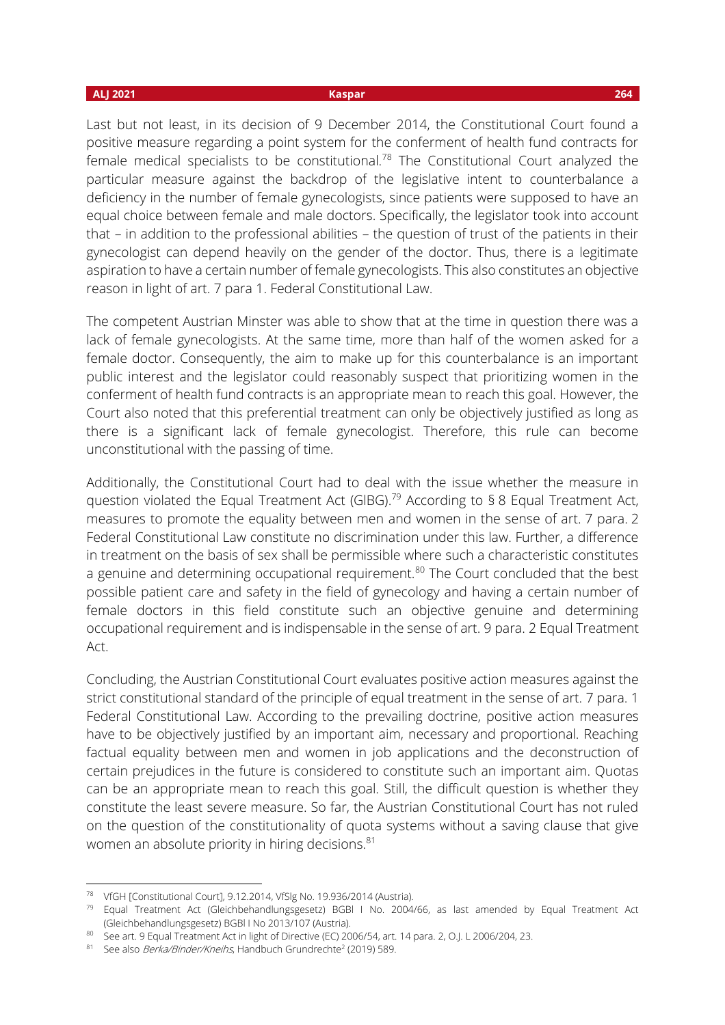Last but not least, in its decision of 9 December 2014, the Constitutional Court found a positive measure regarding a point system for the conferment of health fund contracts for female medical specialists to be constitutional.<sup>78</sup> The Constitutional Court analyzed the particular measure against the backdrop of the legislative intent to counterbalance a deficiency in the number of female gynecologists, since patients were supposed to have an equal choice between female and male doctors. Specifically, the legislator took into account that – in addition to the professional abilities – the question of trust of the patients in their gynecologist can depend heavily on the gender of the doctor. Thus, there is a legitimate aspiration to have a certain number of female gynecologists. This also constitutes an objective reason in light of art. 7 para 1. Federal Constitutional Law.

The competent Austrian Minster was able to show that at the time in question there was a lack of female gynecologists. At the same time, more than half of the women asked for a female doctor. Consequently, the aim to make up for this counterbalance is an important public interest and the legislator could reasonably suspect that prioritizing women in the conferment of health fund contracts is an appropriate mean to reach this goal. However, the Court also noted that this preferential treatment can only be objectively justified as long as there is a significant lack of female gynecologist. Therefore, this rule can become unconstitutional with the passing of time.

Additionally, the Constitutional Court had to deal with the issue whether the measure in question violated the Equal Treatment Act (GIBG).<sup>79</sup> According to § 8 Equal Treatment Act, measures to promote the equality between men and women in the sense of art. 7 para. 2 Federal Constitutional Law constitute no discrimination under this law. Further, a difference in treatment on the basis of sex shall be permissible where such a characteristic constitutes a genuine and determining occupational requirement.<sup>80</sup> The Court concluded that the best possible patient care and safety in the field of gynecology and having a certain number of female doctors in this field constitute such an objective genuine and determining occupational requirement and is indispensable in the sense of art. 9 para. 2 Equal Treatment Act.

Concluding, the Austrian Constitutional Court evaluates positive action measures against the strict constitutional standard of the principle of equal treatment in the sense of art. 7 para. 1 Federal Constitutional Law. According to the prevailing doctrine, positive action measures have to be objectively justified by an important aim, necessary and proportional. Reaching factual equality between men and women in job applications and the deconstruction of certain prejudices in the future is considered to constitute such an important aim. Quotas can be an appropriate mean to reach this goal. Still, the difficult question is whether they constitute the least severe measure. So far, the Austrian Constitutional Court has not ruled on the question of the constitutionality of quota systems without a saving clause that give women an absolute priority in hiring decisions.<sup>81</sup>

<sup>78</sup> VfGH [Constitutional Court], 9.12.2014, VfSlg No. 19.936/2014 (Austria).

<sup>79</sup> Equal Treatment Act (Gleichbehandlungsgesetz) BGBl I No. 2004/66, as last amended by Equal Treatment Act (Gleichbehandlungsgesetz) BGBl I No 2013/107 (Austria).

<sup>80</sup> See art. 9 Equal Treatment Act in light of Directive (EC) 2006/54, art. 14 para. 2, O.J. L 2006/204, 23.

<sup>&</sup>lt;sup>81</sup> See also *Berka/Binder/Kneihs*, Handbuch Grundrechte<sup>2</sup> (2019) 589.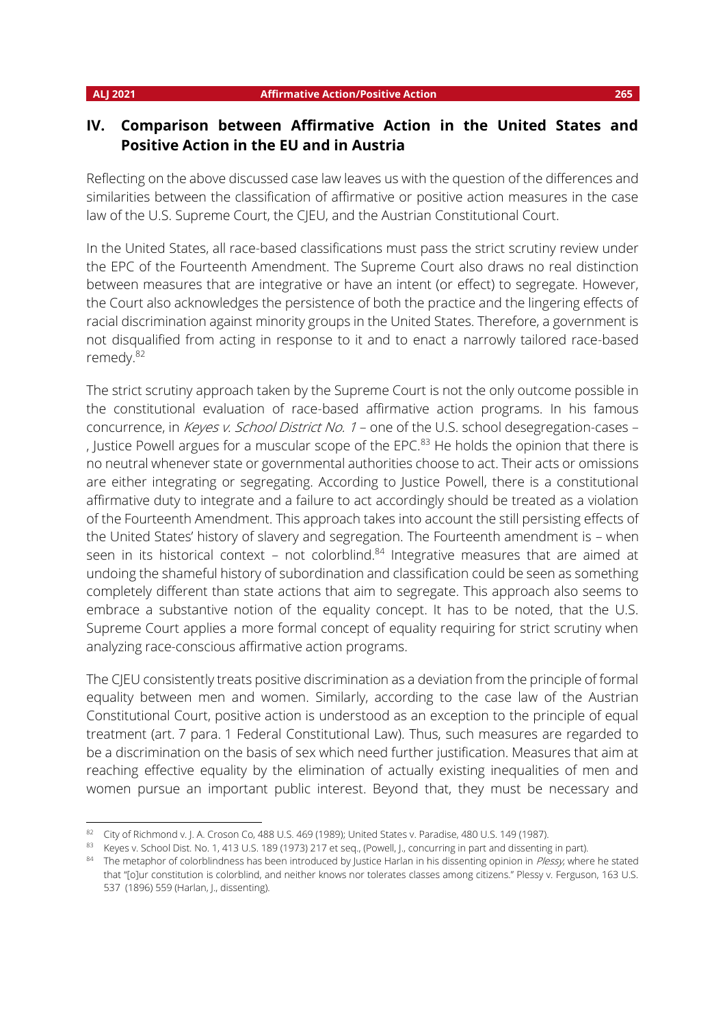## **IV. Comparison between Affirmative Action in the United States and Positive Action in the EU and in Austria**

Reflecting on the above discussed case law leaves us with the question of the differences and similarities between the classification of affirmative or positive action measures in the case law of the U.S. Supreme Court, the CJEU, and the Austrian Constitutional Court.

In the United States, all race-based classifications must pass the strict scrutiny review under the EPC of the Fourteenth Amendment. The Supreme Court also draws no real distinction between measures that are integrative or have an intent (or effect) to segregate. However, the Court also acknowledges the persistence of both the practice and the lingering effects of racial discrimination against minority groups in the United States. Therefore, a government is not disqualified from acting in response to it and to enact a narrowly tailored race-based remedy.<sup>82</sup>

The strict scrutiny approach taken by the Supreme Court is not the only outcome possible in the constitutional evaluation of race-based affirmative action programs. In his famous concurrence, in Keyes v. School District No. 1 – one of the U.S. school desegregation-cases – , Justice Powell argues for a muscular scope of the EPC. $83$  He holds the opinion that there is no neutral whenever state or governmental authorities choose to act. Their acts or omissions are either integrating or segregating. According to Justice Powell, there is a constitutional affirmative duty to integrate and a failure to act accordingly should be treated as a violation of the Fourteenth Amendment. This approach takes into account the still persisting effects of the United States' history of slavery and segregation. The Fourteenth amendment is – when seen in its historical context – not colorblind. $84$  Integrative measures that are aimed at undoing the shameful history of subordination and classification could be seen as something completely different than state actions that aim to segregate. This approach also seems to embrace a substantive notion of the equality concept. It has to be noted, that the U.S. Supreme Court applies a more formal concept of equality requiring for strict scrutiny when analyzing race-conscious affirmative action programs.

The CJEU consistently treats positive discrimination as a deviation from the principle of formal equality between men and women. Similarly, according to the case law of the Austrian Constitutional Court, positive action is understood as an exception to the principle of equal treatment (art. 7 para. 1 Federal Constitutional Law). Thus, such measures are regarded to be a discrimination on the basis of sex which need further justification. Measures that aim at reaching effective equality by the elimination of actually existing inequalities of men and women pursue an important public interest. Beyond that, they must be necessary and

<sup>82</sup> City of Richmond v. J. A. Croson Co, 488 U.S. 469 (1989); United States v. Paradise, 480 U.S. 149 (1987).

<sup>83</sup> Keyes v. School Dist. No. 1, 413 U.S. 189 (1973) 217 et seq., (Powell, J., concurring in part and dissenting in part).

<sup>84</sup> The metaphor of colorblindness has been introduced by Justice Harlan in his dissenting opinion in Plessy, where he stated that "[o]ur constitution is colorblind, and neither knows nor tolerates classes among citizens." Plessy v. Ferguson, 163 U.S. 537 (1896) 559 (Harlan, J., dissenting).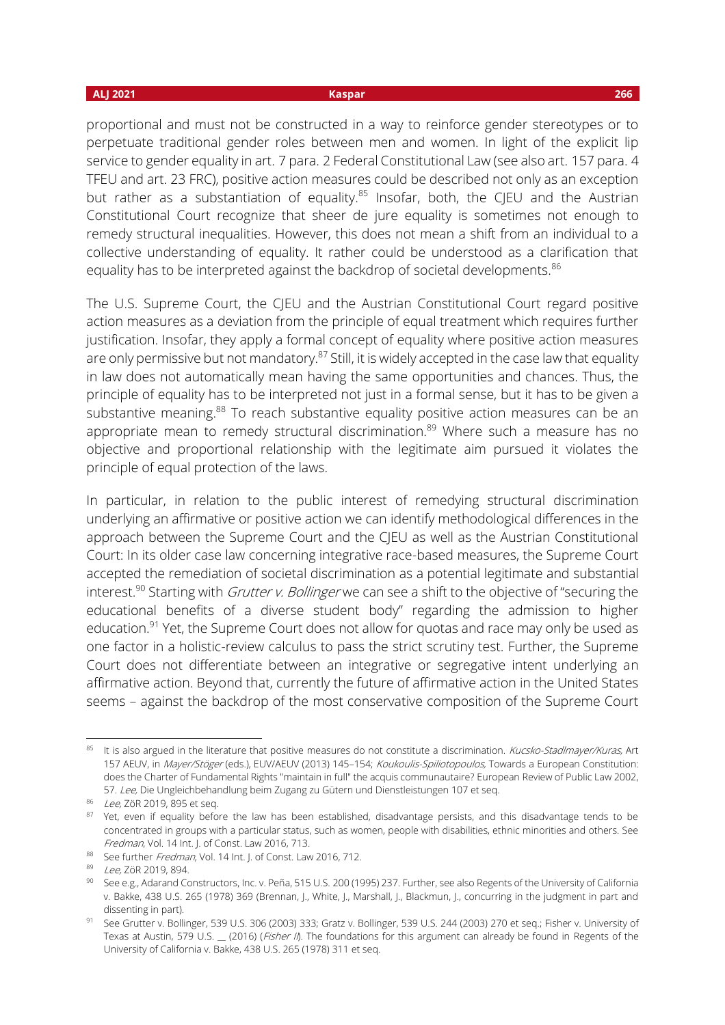proportional and must not be constructed in a way to reinforce gender stereotypes or to perpetuate traditional gender roles between men and women. In light of the explicit lip service to gender equality in art. 7 para. 2 Federal Constitutional Law (see also art. 157 para. 4 TFEU and art. 23 FRC), positive action measures could be described not only as an exception but rather as a substantiation of equality.<sup>85</sup> Insofar, both, the CJEU and the Austrian Constitutional Court recognize that sheer de jure equality is sometimes not enough to remedy structural inequalities. However, this does not mean a shift from an individual to a collective understanding of equality. It rather could be understood as a clarification that equality has to be interpreted against the backdrop of societal developments.<sup>86</sup>

The U.S. Supreme Court, the CJEU and the Austrian Constitutional Court regard positive action measures as a deviation from the principle of equal treatment which requires further justification. Insofar, they apply a formal concept of equality where positive action measures are only permissive but not mandatory.<sup>87</sup> Still, it is widely accepted in the case law that equality in law does not automatically mean having the same opportunities and chances. Thus, the principle of equality has to be interpreted not just in a formal sense, but it has to be given a substantive meaning.<sup>88</sup> To reach substantive equality positive action measures can be an appropriate mean to remedy structural discrimination.<sup>89</sup> Where such a measure has no objective and proportional relationship with the legitimate aim pursued it violates the principle of equal protection of the laws.

In particular, in relation to the public interest of remedying structural discrimination underlying an affirmative or positive action we can identify methodological differences in the approach between the Supreme Court and the CJEU as well as the Austrian Constitutional Court: In its older case law concerning integrative race-based measures, the Supreme Court accepted the remediation of societal discrimination as a potential legitimate and substantial interest.<sup>90</sup> Starting with *Grutter v. Bollinger* we can see a shift to the objective of "securing the educational benefits of a diverse student body" regarding the admission to higher education.<sup>91</sup> Yet, the Supreme Court does not allow for quotas and race may only be used as one factor in a holistic-review calculus to pass the strict scrutiny test. Further, the Supreme Court does not differentiate between an integrative or segregative intent underlying an affirmative action. Beyond that, currently the future of affirmative action in the United States seems – against the backdrop of the most conservative composition of the Supreme Court

<sup>85</sup> It is also argued in the literature that positive measures do not constitute a discrimination. Kucsko-Stadlmayer/Kuras, Art 157 AEUV, in Mayer/Stöger (eds.), EUV/AEUV (2013) 145-154; Koukoulis-Spiliotopoulos, Towards a European Constitution: does the Charter of Fundamental Rights "maintain in full" the acquis communautaire? European Review of Public Law 2002, 57. Lee, Die Ungleichbehandlung beim Zugang zu Gütern und Dienstleistungen 107 et seq.

<sup>86</sup> Lee, ZöR 2019, 895 et seq.

<sup>&</sup>lt;sup>87</sup> Yet, even if equality before the law has been established, disadvantage persists, and this disadvantage tends to be concentrated in groups with a particular status, such as women, people with disabilities, ethnic minorities and others. See Fredman, Vol. 14 Int. J. of Const. Law 2016, 713.

<sup>88</sup> See further Fredman, Vol. 14 Int. J. of Const. Law 2016, 712.

<sup>89</sup> Lee, ZöR 2019, 894.

<sup>90</sup> See e.g., Adarand Constructors, Inc. v. Peña, 515 U.S. 200 (1995) 237. Further, see also Regents of the University of California v. Bakke, 438 U.S. 265 (1978) 369 (Brennan, J., White, J., Marshall, J., Blackmun, J., concurring in the judgment in part and dissenting in part).

<sup>91</sup> See Grutter v. Bollinger, 539 U.S. 306 (2003) 333; Gratz v. Bollinger, 539 U.S. 244 (2003) 270 et seq.; Fisher v. University of Texas at Austin, 579 U.S. \_ (2016) (Fisher II). The foundations for this argument can already be found in Regents of the University of California v. Bakke, 438 U.S. 265 (1978) 311 et seq.